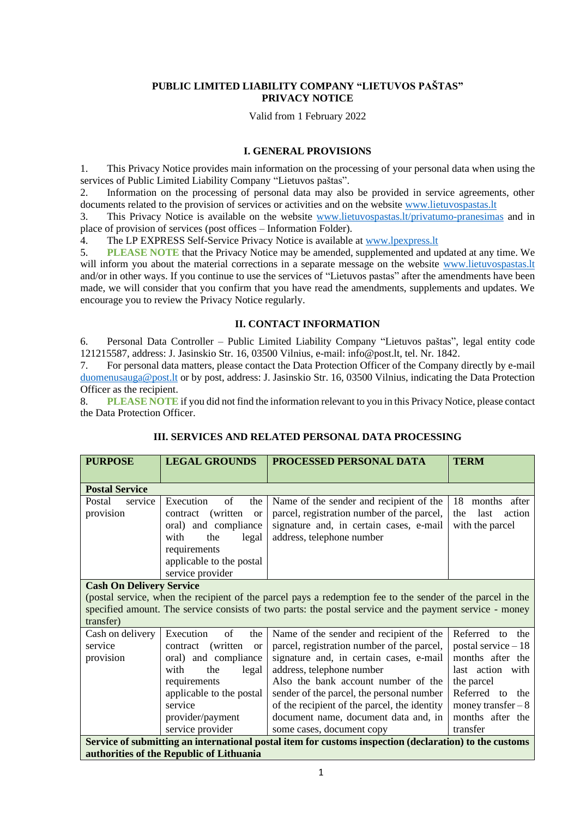# **PUBLIC LIMITED LIABILITY COMPANY "LIETUVOS PAŠTAS" PRIVACY NOTICE**

Valid from 1 February 2022

## **I. GENERAL PROVISIONS**

1. This Privacy Notice provides main information on the processing of your personal data when using the services of Public Limited Liability Company "Lietuvos paštas".

2. Information on the processing of personal data may also be provided in service agreements, other documents related to the provision of services or activities and on the website [www.lietuvospastas.lt](http://www.lietuvospastas.lt/)

3. This Privacy Notice is available on the website [www.lietuvospastas.lt/privatumo-pranesimas](http://www.lietuvospastas.lt/privatumo-pranesimas) and in place of provision of services (post offices – Information Folder).

4. The LP EXPRESS Self-Service Privacy Notice is available at [www.lpexpress.lt](http://www.lpexpress.lt/)

5. **PLEASE NOTE** that the Privacy Notice may be amended, supplemented and updated at any time. We will inform you about the material corrections in a separate message on the website www.lietuvospastas.It and/or in other ways. If you continue to use the services of "Lietuvos pastas" after the amendments have been made, we will consider that you confirm that you have read the amendments, supplements and updates. We encourage you to review the Privacy Notice regularly.

# **II. CONTACT INFORMATION**

6. Personal Data Controller – Public Limited Liability Company "Lietuvos paštas", legal entity code 121215587, address: J. Jasinskio Str. 16, 03500 Vilnius, e-mail: info@post.lt, tel. Nr. 1842.

7. For personal data matters, please contact the Data Protection Officer of the Company directly by e-mail [duomenusauga@post.lt](mailto:duomenusauga@post.lt) or by post, address: J. Jasinskio Str. 16, 03500 Vilnius, indicating the Data Protection Officer as the recipient.

8. **PLEASE NOTE** if you did not find the information relevant to you in this Privacy Notice, please contact the Data Protection Officer.

| <b>PURPOSE</b>                                                                                                                                     | <b>LEGAL GROUNDS</b>                                                                                                                                                                                            | PROCESSED PERSONAL DATA                                                                                                                                                                                                                                                                                                                                                | <b>TERM</b>                                                                                                                                                             |  |  |  |
|----------------------------------------------------------------------------------------------------------------------------------------------------|-----------------------------------------------------------------------------------------------------------------------------------------------------------------------------------------------------------------|------------------------------------------------------------------------------------------------------------------------------------------------------------------------------------------------------------------------------------------------------------------------------------------------------------------------------------------------------------------------|-------------------------------------------------------------------------------------------------------------------------------------------------------------------------|--|--|--|
|                                                                                                                                                    |                                                                                                                                                                                                                 |                                                                                                                                                                                                                                                                                                                                                                        |                                                                                                                                                                         |  |  |  |
| <b>Postal Service</b>                                                                                                                              |                                                                                                                                                                                                                 |                                                                                                                                                                                                                                                                                                                                                                        |                                                                                                                                                                         |  |  |  |
| Postal<br>service<br>provision                                                                                                                     | Execution<br>of<br>the<br>(written)<br><b>or</b><br>contract<br>oral) and compliance<br>the<br>with<br>legal<br>requirements<br>applicable to the postal<br>service provider                                    | Name of the sender and recipient of the<br>parcel, registration number of the parcel,<br>signature and, in certain cases, e-mail<br>address, telephone number                                                                                                                                                                                                          | months after<br>18<br>last<br>action<br>the<br>with the parcel                                                                                                          |  |  |  |
| <b>Cash On Delivery Service</b><br>transfer)                                                                                                       |                                                                                                                                                                                                                 | (postal service, when the recipient of the parcel pays a redemption fee to the sender of the parcel in the<br>specified amount. The service consists of two parts: the postal service and the payment service - money                                                                                                                                                  |                                                                                                                                                                         |  |  |  |
| Cash on delivery<br>service<br>provision                                                                                                           | Execution<br>of<br>the<br>(written)<br>contract<br><sub>or</sub><br>oral) and compliance<br>with<br>the<br>legal<br>requirements<br>applicable to the postal<br>service<br>provider/payment<br>service provider | Name of the sender and recipient of the<br>parcel, registration number of the parcel,<br>signature and, in certain cases, e-mail<br>address, telephone number<br>Also the bank account number of the<br>sender of the parcel, the personal number<br>of the recipient of the parcel, the identity<br>document name, document data and, in<br>some cases, document copy | Referred to the<br>postal service $-18$<br>months after the<br>last action with<br>the parcel<br>Referred to the<br>money transfer $-8$<br>months after the<br>transfer |  |  |  |
| Service of submitting an international postal item for customs inspection (declaration) to the customs<br>authorities of the Republic of Lithuania |                                                                                                                                                                                                                 |                                                                                                                                                                                                                                                                                                                                                                        |                                                                                                                                                                         |  |  |  |

# **III. SERVICES AND RELATED PERSONAL DATA PROCESSING**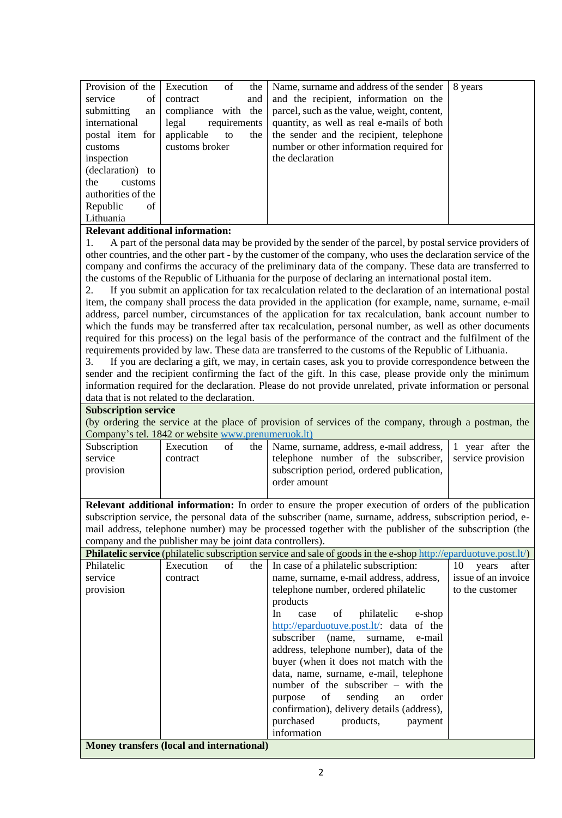| Provision of the   | Execution<br>of       | the | Name, surname and address of the sender     | 8 years |
|--------------------|-----------------------|-----|---------------------------------------------|---------|
| of<br>service      | contract              | and | and the recipient, information on the       |         |
| submitting<br>an   | compliance with the   |     | parcel, such as the value, weight, content, |         |
| international      | legal<br>requirements |     | quantity, as well as real e-mails of both   |         |
| postal item for    | applicable to         | the | the sender and the recipient, telephone     |         |
| customs            | customs broker        |     | number or other information required for    |         |
| inspection         |                       |     | the declaration                             |         |
| (declaration) to   |                       |     |                                             |         |
| the<br>customs     |                       |     |                                             |         |
| authorities of the |                       |     |                                             |         |
| of<br>Republic     |                       |     |                                             |         |
| Lithuania          |                       |     |                                             |         |

## **Relevant additional information:**

1. A part of the personal data may be provided by the sender of the parcel, by postal service providers of other countries, and the other part - by the customer of the company, who uses the declaration service of the company and confirms the accuracy of the preliminary data of the company. These data are transferred to the customs of the Republic of Lithuania for the purpose of declaring an international postal item.

2. If you submit an application for tax recalculation related to the declaration of an international postal item, the company shall process the data provided in the application (for example, name, surname, e-mail address, parcel number, circumstances of the application for tax recalculation, bank account number to which the funds may be transferred after tax recalculation, personal number, as well as other documents required for this process) on the legal basis of the performance of the contract and the fulfilment of the requirements provided by law. These data are transferred to the customs of the Republic of Lithuania.

3. If you are declaring a gift, we may, in certain cases, ask you to provide correspondence between the sender and the recipient confirming the fact of the gift. In this case, please provide only the minimum information required for the declaration. Please do not provide unrelated, private information or personal data that is not related to the declaration.

#### **Subscription service**

(by ordering the service at the place of provision of services of the company, through a postman, the Company's tel. 1842 or websit[e www.prenumeruok.lt\)](http://www.prenumeruok.lt/)

| Subscription | Execution | οf | the   Name, surname, address, e-mail address,   1 year after the |  |
|--------------|-----------|----|------------------------------------------------------------------|--|
| service      | contract  |    | telephone number of the subscriber, service provision            |  |
| provision    |           |    | subscription period, ordered publication,                        |  |
|              |           |    | order amount                                                     |  |
|              |           |    |                                                                  |  |

**Relevant additional information:** In order to ensure the proper execution of orders of the publication subscription service, the personal data of the subscriber (name, surname, address, subscription period, email address, telephone number) may be processed together with the publisher of the subscription (the company and the publisher may be joint data controllers).

| <b>Philatelic service</b> (philatelic subscription service and sale of goods in the e-shop http://eparduotuve.post.lt/) |           |    |     |                                            |                      |  |
|-------------------------------------------------------------------------------------------------------------------------|-----------|----|-----|--------------------------------------------|----------------------|--|
| Philatelic                                                                                                              | Execution | of | the | In case of a philatelic subscription:      | 10<br>after<br>years |  |
| service                                                                                                                 | contract  |    |     | name, surname, e-mail address, address,    | issue of an invoice  |  |
| provision                                                                                                               |           |    |     | telephone number, ordered philatelic       | to the customer      |  |
|                                                                                                                         |           |    |     | products                                   |                      |  |
|                                                                                                                         |           |    |     | philatelic<br>In<br>of<br>e-shop<br>case   |                      |  |
|                                                                                                                         |           |    |     | http://eparduotuve.post.lt/: data of the   |                      |  |
|                                                                                                                         |           |    |     | subscriber (name, surname, e-mail          |                      |  |
|                                                                                                                         |           |    |     | address, telephone number), data of the    |                      |  |
|                                                                                                                         |           |    |     | buyer (when it does not match with the     |                      |  |
|                                                                                                                         |           |    |     | data, name, surname, e-mail, telephone     |                      |  |
|                                                                                                                         |           |    |     | number of the subscriber $-$ with the      |                      |  |
|                                                                                                                         |           |    |     | purpose of<br>sending an<br>order          |                      |  |
|                                                                                                                         |           |    |     | confirmation), delivery details (address), |                      |  |
|                                                                                                                         |           |    |     | purchased<br>products,<br>payment          |                      |  |
|                                                                                                                         |           |    |     | information                                |                      |  |
| Money transfers (local and international)                                                                               |           |    |     |                                            |                      |  |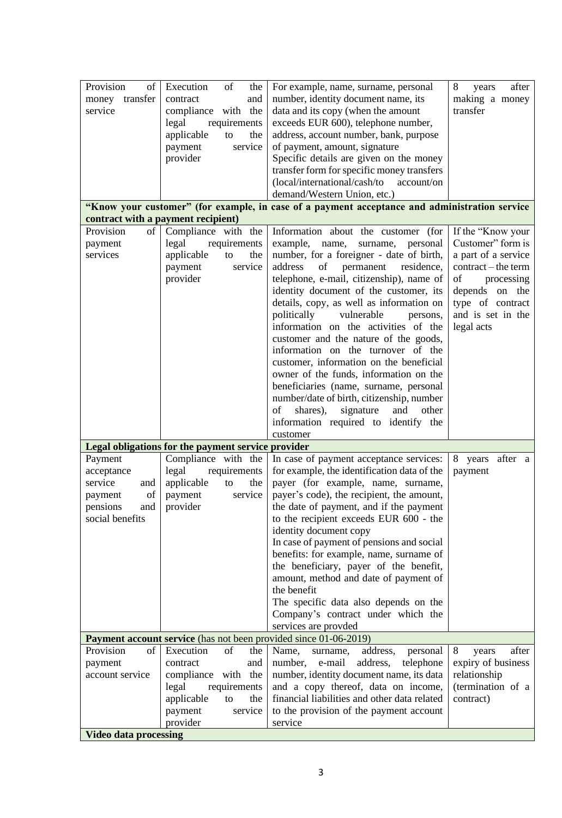| Provision<br>of            | Execution<br>of                                                                     | For example, name, surname, personal                                                          | 8<br>after                         |
|----------------------------|-------------------------------------------------------------------------------------|-----------------------------------------------------------------------------------------------|------------------------------------|
|                            | the                                                                                 |                                                                                               | years                              |
| money transfer<br>service  | contract<br>and                                                                     | number, identity document name, its                                                           | making a money<br>transfer         |
|                            | compliance with the                                                                 | data and its copy (when the amount                                                            |                                    |
|                            | legal<br>requirements                                                               | exceeds EUR 600), telephone number,                                                           |                                    |
|                            | applicable<br>the<br>to                                                             | address, account number, bank, purpose                                                        |                                    |
|                            | payment<br>service                                                                  | of payment, amount, signature                                                                 |                                    |
|                            | provider                                                                            | Specific details are given on the money                                                       |                                    |
|                            |                                                                                     | transfer form for specific money transfers<br>(local/international/cash/to<br>account/on      |                                    |
|                            |                                                                                     | demand/Western Union, etc.)                                                                   |                                    |
|                            |                                                                                     | "Know your customer" (for example, in case of a payment acceptance and administration service |                                    |
|                            | contract with a payment recipient)                                                  |                                                                                               |                                    |
| Provision<br>of            | Compliance with the                                                                 | Information about the customer (for                                                           | If the "Know your                  |
| payment                    | legal<br>requirements                                                               | name,<br>example,<br>surname,<br>personal                                                     | Customer" form is                  |
| services                   | applicable<br>the<br>to                                                             | number, for a foreigner - date of birth,                                                      | a part of a service                |
|                            | service<br>payment                                                                  | address<br>of<br>residence,<br>permanent                                                      | contract – the term                |
|                            | provider                                                                            | telephone, e-mail, citizenship), name of                                                      | processing<br>of                   |
|                            |                                                                                     | identity document of the customer, its                                                        | depends on the                     |
|                            |                                                                                     | details, copy, as well as information on                                                      | type of contract                   |
|                            |                                                                                     | politically<br>vulnerable<br>persons,                                                         | and is set in the                  |
|                            |                                                                                     | information on the activities of the                                                          | legal acts                         |
|                            |                                                                                     | customer and the nature of the goods,                                                         |                                    |
|                            |                                                                                     | information on the turnover of the                                                            |                                    |
|                            |                                                                                     | customer, information on the beneficial                                                       |                                    |
|                            |                                                                                     | owner of the funds, information on the                                                        |                                    |
|                            |                                                                                     | beneficiaries (name, surname, personal                                                        |                                    |
|                            |                                                                                     | number/date of birth, citizenship, number                                                     |                                    |
|                            |                                                                                     | signature<br>of<br>shares),<br>and<br>other                                                   |                                    |
|                            |                                                                                     | information required to identify the                                                          |                                    |
|                            |                                                                                     | customer                                                                                      |                                    |
|                            | Legal obligations for the payment service provider                                  |                                                                                               |                                    |
| Payment                    | Compliance with the                                                                 | In case of payment acceptance services:                                                       | 8 years<br>after a                 |
| acceptance                 | legal<br>requirements                                                               | for example, the identification data of the                                                   | payment                            |
| service<br>and             | applicable<br>the<br>to                                                             | payer (for example, name, surname,                                                            |                                    |
| of<br>payment              | service<br>payment                                                                  | payer's code), the recipient, the amount,                                                     |                                    |
| pensions<br>and            | provider                                                                            | the date of payment, and if the payment                                                       |                                    |
| social benefits            |                                                                                     | to the recipient exceeds EUR 600 - the                                                        |                                    |
|                            |                                                                                     | identity document copy                                                                        |                                    |
|                            |                                                                                     | In case of payment of pensions and social                                                     |                                    |
|                            |                                                                                     | benefits: for example, name, surname of                                                       |                                    |
|                            |                                                                                     | the beneficiary, payer of the benefit,                                                        |                                    |
|                            |                                                                                     | amount, method and date of payment of                                                         |                                    |
|                            |                                                                                     | the benefit                                                                                   |                                    |
|                            |                                                                                     | The specific data also depends on the                                                         |                                    |
|                            |                                                                                     | Company's contract under which the                                                            |                                    |
|                            |                                                                                     | services are provded                                                                          |                                    |
| Provision<br>of            | Payment account service (has not been provided since 01-06-2019)<br>Execution<br>of | Name,                                                                                         | 8<br>after                         |
|                            | the                                                                                 | address,<br>personal<br>surname,<br>address,<br>number,<br>e-mail                             | years                              |
| payment<br>account service | contract<br>and                                                                     | telephone                                                                                     | expiry of business<br>relationship |
|                            | compliance with the<br>requirements                                                 | number, identity document name, its data<br>and a copy thereof, data on income,               | (termination of a                  |
|                            | legal<br>applicable<br>the<br>to                                                    | financial liabilities and other data related                                                  | contract)                          |
|                            | payment<br>service                                                                  | to the provision of the payment account                                                       |                                    |
|                            | provider                                                                            | service                                                                                       |                                    |
|                            |                                                                                     |                                                                                               |                                    |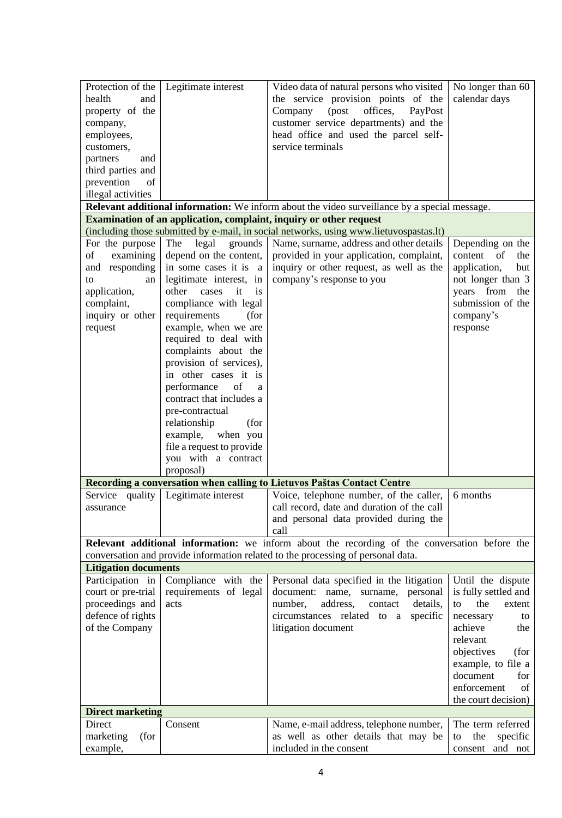| Protection of the           | Legitimate interest                   | Video data of natural persons who visited                                                     | No longer than 60     |
|-----------------------------|---------------------------------------|-----------------------------------------------------------------------------------------------|-----------------------|
| health<br>and               |                                       | the service provision points of the                                                           | calendar days         |
| property of the             |                                       | Company<br>(post<br>offices,<br>PayPost                                                       |                       |
| company,                    |                                       | customer service departments) and the                                                         |                       |
| employees,                  |                                       | head office and used the parcel self-                                                         |                       |
| customers,                  |                                       | service terminals                                                                             |                       |
| partners<br>and             |                                       |                                                                                               |                       |
| third parties and           |                                       |                                                                                               |                       |
| prevention<br>of            |                                       |                                                                                               |                       |
| illegal activities          |                                       |                                                                                               |                       |
|                             |                                       | Relevant additional information: We inform about the video surveillance by a special message. |                       |
|                             |                                       | Examination of an application, complaint, inquiry or other request                            |                       |
|                             |                                       | (including those submitted by e-mail, in social networks, using www.lietuvospastas.lt)        |                       |
| For the purpose             | The<br>legal<br>grounds               | Name, surname, address and other details                                                      | Depending on the      |
| of<br>examining             | depend on the content,                | provided in your application, complaint,                                                      | content of<br>the     |
| and responding              | in some cases it is a                 | inquiry or other request, as well as the                                                      | application,<br>but   |
| to<br>an                    | legitimate interest, in               | company's response to you                                                                     | not longer than 3     |
| application,                | other<br>it<br>cases<br><i>is</i>     |                                                                                               | years from<br>the     |
| complaint,                  | compliance with legal                 |                                                                                               | submission of the     |
| inquiry or other            | requirements<br>(for                  |                                                                                               | company's             |
| request                     | example, when we are                  |                                                                                               | response              |
|                             | required to deal with                 |                                                                                               |                       |
|                             | complaints about the                  |                                                                                               |                       |
|                             | provision of services),               |                                                                                               |                       |
|                             | in other cases it is                  |                                                                                               |                       |
|                             | performance<br>of<br>a                |                                                                                               |                       |
|                             | contract that includes a              |                                                                                               |                       |
|                             | pre-contractual                       |                                                                                               |                       |
|                             | relationship<br>(for                  |                                                                                               |                       |
|                             | example,<br>when you                  |                                                                                               |                       |
|                             | file a request to provide             |                                                                                               |                       |
|                             | you with a contract                   |                                                                                               |                       |
|                             | proposal)                             |                                                                                               |                       |
|                             |                                       | Recording a conversation when calling to Lietuvos Paštas Contact Centre                       |                       |
|                             | Service quality   Legitimate interest | Voice, telephone number, of the caller,                                                       | 6 months              |
| assurance                   |                                       | call record, date and duration of the call                                                    |                       |
|                             |                                       | and personal data provided during the                                                         |                       |
|                             |                                       | call                                                                                          |                       |
|                             |                                       | Relevant additional information: we inform about the recording of the conversation before the |                       |
|                             |                                       | conversation and provide information related to the processing of personal data.              |                       |
| <b>Litigation documents</b> |                                       |                                                                                               |                       |
| Participation in            | Compliance with the                   | Personal data specified in the litigation                                                     | Until the dispute     |
| court or pre-trial          | requirements of legal                 | document:<br>name,<br>surname,<br>personal                                                    | is fully settled and  |
| proceedings and             | acts                                  | number,<br>address,<br>details,<br>contact                                                    | the<br>to<br>extent   |
| defence of rights           |                                       | circumstances related to a<br>specific                                                        | necessary<br>to       |
| of the Company              |                                       | litigation document                                                                           | achieve<br>the        |
|                             |                                       |                                                                                               | relevant              |
|                             |                                       |                                                                                               | objectives<br>(for    |
|                             |                                       |                                                                                               | example, to file a    |
|                             |                                       |                                                                                               | document<br>for       |
|                             |                                       |                                                                                               | enforcement<br>of     |
|                             |                                       |                                                                                               | the court decision)   |
| <b>Direct marketing</b>     |                                       |                                                                                               |                       |
| Direct                      | Consent                               | Name, e-mail address, telephone number,                                                       | The term referred     |
| marketing<br>(for           |                                       | as well as other details that may be                                                          | specific<br>the<br>to |
| example,                    |                                       | included in the consent                                                                       | and not<br>consent    |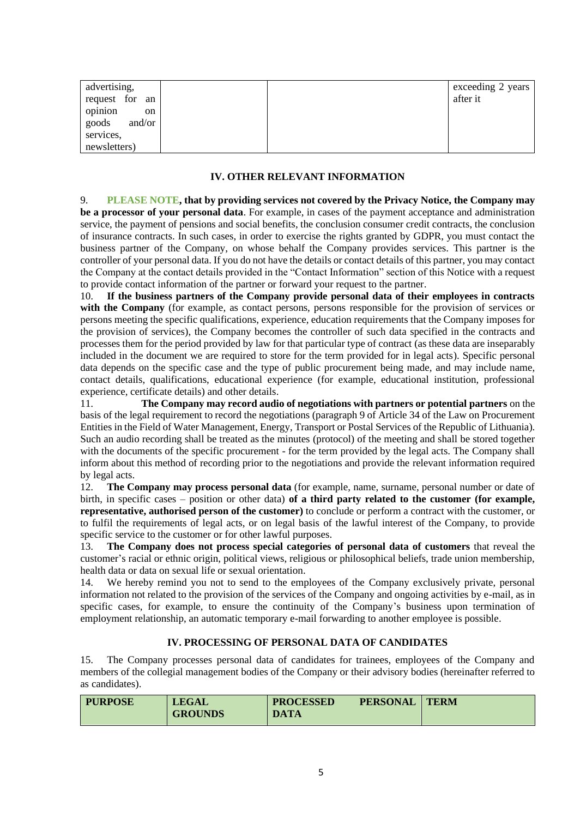| advertising,<br>request for an | exceeding 2 years<br>after it |
|--------------------------------|-------------------------------|
| opinion<br>on                  |                               |
| goods<br>and/or                |                               |
| services,                      |                               |
| newsletters)                   |                               |

# **IV. OTHER RELEVANT INFORMATION**

9. **PLEASE NOTE, that by providing services not covered by the Privacy Notice, the Company may be a processor of your personal data**. For example, in cases of the payment acceptance and administration service, the payment of pensions and social benefits, the conclusion consumer credit contracts, the conclusion of insurance contracts. In such cases, in order to exercise the rights granted by GDPR, you must contact the business partner of the Company, on whose behalf the Company provides services. This partner is the controller of your personal data. If you do not have the details or contact details of this partner, you may contact the Company at the contact details provided in the "Contact Information" section of this Notice with a request to provide contact information of the partner or forward your request to the partner.

10. **If the business partners of the Company provide personal data of their employees in contracts with the Company** (for example, as contact persons, persons responsible for the provision of services or persons meeting the specific qualifications, experience, education requirements that the Company imposes for the provision of services), the Company becomes the controller of such data specified in the contracts and processes them for the period provided by law for that particular type of contract (as these data are inseparably included in the document we are required to store for the term provided for in legal acts). Specific personal data depends on the specific case and the type of public procurement being made, and may include name, contact details, qualifications, educational experience (for example, educational institution, professional experience, certificate details) and other details.

11. **The Company may record audio of negotiations with partners or potential partners** on the basis of the legal requirement to record the negotiations (paragraph 9 of Article 34 of the Law on Procurement Entities in the Field of Water Management, Energy, Transport or Postal Services of the Republic of Lithuania). Such an audio recording shall be treated as the minutes (protocol) of the meeting and shall be stored together with the documents of the specific procurement - for the term provided by the legal acts. The Company shall inform about this method of recording prior to the negotiations and provide the relevant information required by legal acts.

12. **The Company may process personal data** (for example, name, surname, personal number or date of birth, in specific cases – position or other data) **of a third party related to the customer (for example, representative, authorised person of the customer)** to conclude or perform a contract with the customer, or to fulfil the requirements of legal acts, or on legal basis of the lawful interest of the Company, to provide specific service to the customer or for other lawful purposes.

13. **The Company does not process special categories of personal data of customers** that reveal the customer's racial or ethnic origin, political views, religious or philosophical beliefs, trade union membership, health data or data on sexual life or sexual orientation.

14. We hereby remind you not to send to the employees of the Company exclusively private, personal information not related to the provision of the services of the Company and ongoing activities by e-mail, as in specific cases, for example, to ensure the continuity of the Company's business upon termination of employment relationship, an automatic temporary e-mail forwarding to another employee is possible.

#### **IV. PROCESSING OF PERSONAL DATA OF CANDIDATES**

15. The Company processes personal data of candidates for trainees, employees of the Company and members of the collegial management bodies of the Company or their advisory bodies (hereinafter referred to as candidates).

| <b>PURPOSE</b> | <b>LEGAL</b>   | <b>PROCESSED</b> | <b>PERSONAL</b> | <b>TERM</b> |
|----------------|----------------|------------------|-----------------|-------------|
|                | <b>GROUNDS</b> | <b>DATA</b>      |                 |             |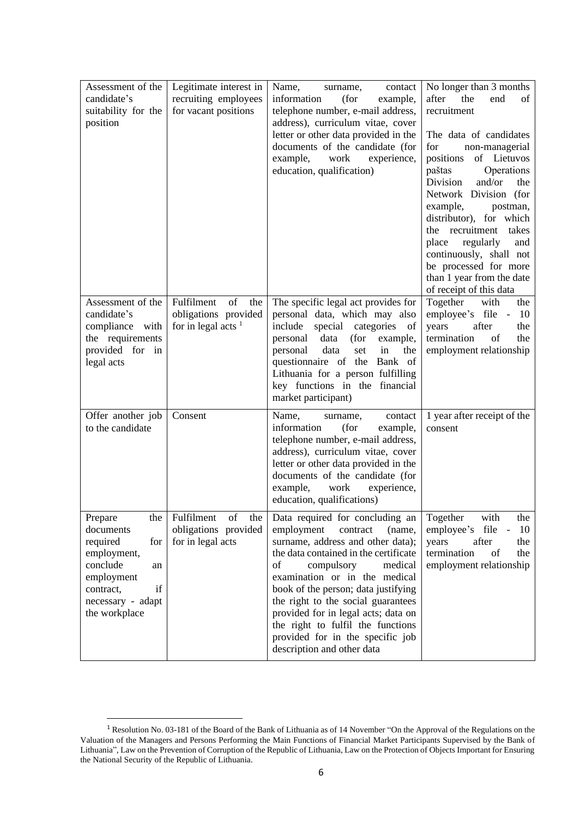| Assessment of the<br>candidate's<br>suitability for the<br>position                                                                                    | Legitimate interest in<br>recruiting employees<br>for vacant positions                                                                                                   | Name,<br>contact<br>surname,<br>information<br>(for<br>example,<br>telephone number, e-mail address,<br>address), curriculum vitae, cover<br>letter or other data provided in the<br>documents of the candidate (for<br>example,<br>work<br>experience,<br>education, qualification)                                                                                                                                                         | No longer than 3 months<br>after<br>the<br>end<br>of<br>recruitment<br>The data of candidates<br>non-managerial<br>for<br>of Lietuvos<br>positions<br>paštas<br>Operations<br>Division<br>and/or<br>the<br>Network Division (for<br>example,<br>postman,<br>distributor), for which<br>the recruitment<br>takes<br>regularly<br>place<br>and<br>continuously, shall not<br>be processed for more<br>than 1 year from the date<br>of receipt of this data |
|--------------------------------------------------------------------------------------------------------------------------------------------------------|--------------------------------------------------------------------------------------------------------------------------------------------------------------------------|----------------------------------------------------------------------------------------------------------------------------------------------------------------------------------------------------------------------------------------------------------------------------------------------------------------------------------------------------------------------------------------------------------------------------------------------|----------------------------------------------------------------------------------------------------------------------------------------------------------------------------------------------------------------------------------------------------------------------------------------------------------------------------------------------------------------------------------------------------------------------------------------------------------|
| Assessment of the<br>candidate's<br>compliance<br>with<br>the requirements<br>provided for in<br>legal acts                                            | $% \left( \left( \mathcal{A},\mathcal{A}\right) \right) =\left( \mathcal{A},\mathcal{A}\right)$ of<br>Fulfilment<br>the<br>obligations provided<br>for in legal acts $1$ | The specific legal act provides for<br>personal data, which may also<br>special<br>include<br>categories<br>of<br>data<br>personal<br>(for<br>example,<br>data<br>personal<br>set<br>the<br>in<br>questionnaire of the Bank of<br>Lithuania for a person fulfilling<br>key functions in the financial<br>market participant)                                                                                                                 | Together<br>with<br>the<br>employee's file -<br>10<br>years<br>after<br>the<br>termination<br>of<br>the<br>employment relationship                                                                                                                                                                                                                                                                                                                       |
| Offer another job<br>to the candidate                                                                                                                  | Consent                                                                                                                                                                  | Name,<br>contact<br>surname,<br>information<br>(for<br>example,<br>telephone number, e-mail address,<br>address), curriculum vitae, cover<br>letter or other data provided in the<br>documents of the candidate (for<br>work<br>experience,<br>example,<br>education, qualifications)                                                                                                                                                        | 1 year after receipt of the<br>consent                                                                                                                                                                                                                                                                                                                                                                                                                   |
| Prepare<br>the<br>documents<br>required<br>for<br>employment,<br>conclude<br>an<br>employment<br>if<br>contract,<br>necessary - adapt<br>the workplace | Fulfilment<br>of<br>the<br>obligations provided<br>for in legal acts                                                                                                     | Data required for concluding an<br>employment<br>contract<br>(name,<br>surname, address and other data);<br>the data contained in the certificate<br>of<br>compulsory<br>medical<br>examination or in the medical<br>book of the person; data justifying<br>the right to the social guarantees<br>provided for in legal acts; data on<br>the right to fulfil the functions<br>provided for in the specific job<br>description and other data | Together<br>with<br>the<br>file<br>employee's<br>10<br>years<br>after<br>the<br>termination<br>of<br>the<br>employment relationship                                                                                                                                                                                                                                                                                                                      |

<sup>1</sup> Resolution No. 03-181 of the Board of the Bank of Lithuania as of 14 November "On the Approval of the Regulations on the Valuation of the Managers and Persons Performing the Main Functions of Financial Market Participants Supervised by the Bank of Lithuania", Law on the Prevention of Corruption of the Republic of Lithuania, Law on the Protection of Objects Important for Ensuring the National Security of the Republic of Lithuania.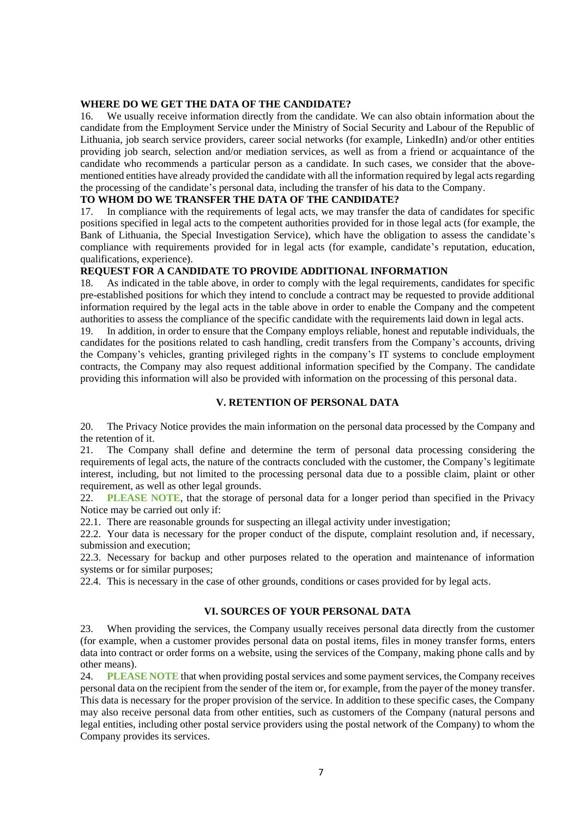#### **WHERE DO WE GET THE DATA OF THE CANDIDATE?**

16. We usually receive information directly from the candidate. We can also obtain information about the candidate from the Employment Service under the Ministry of Social Security and Labour of the Republic of Lithuania, job search service providers, career social networks (for example, LinkedIn) and/or other entities providing job search, selection and/or mediation services, as well as from a friend or acquaintance of the candidate who recommends a particular person as a candidate. In such cases, we consider that the abovementioned entities have already provided the candidate with all the information required by legal acts regarding the processing of the candidate's personal data, including the transfer of his data to the Company.

## **TO WHOM DO WE TRANSFER THE DATA OF THE CANDIDATE?**

17. In compliance with the requirements of legal acts, we may transfer the data of candidates for specific positions specified in legal acts to the competent authorities provided for in those legal acts (for example, the Bank of Lithuania, the Special Investigation Service), which have the obligation to assess the candidate's compliance with requirements provided for in legal acts (for example, candidate's reputation, education, qualifications, experience).

#### **REQUEST FOR A CANDIDATE TO PROVIDE ADDITIONAL INFORMATION**

18. As indicated in the table above, in order to comply with the legal requirements, candidates for specific pre-established positions for which they intend to conclude a contract may be requested to provide additional information required by the legal acts in the table above in order to enable the Company and the competent authorities to assess the compliance of the specific candidate with the requirements laid down in legal acts.

19. In addition, in order to ensure that the Company employs reliable, honest and reputable individuals, the candidates for the positions related to cash handling, credit transfers from the Company's accounts, driving the Company's vehicles, granting privileged rights in the company's IT systems to conclude employment contracts, the Company may also request additional information specified by the Company. The candidate providing this information will also be provided with information on the processing of this personal data.

#### **V. RETENTION OF PERSONAL DATA**

20. The Privacy Notice provides the main information on the personal data processed by the Company and the retention of it.

21. The Company shall define and determine the term of personal data processing considering the requirements of legal acts, the nature of the contracts concluded with the customer, the Company's legitimate interest, including, but not limited to the processing personal data due to a possible claim, plaint or other requirement, as well as other legal grounds.

22. **PLEASE NOTE**, that the storage of personal data for a longer period than specified in the Privacy Notice may be carried out only if:

22.1. There are reasonable grounds for suspecting an illegal activity under investigation;

22.2. Your data is necessary for the proper conduct of the dispute, complaint resolution and, if necessary, submission and execution;

22.3. Necessary for backup and other purposes related to the operation and maintenance of information systems or for similar purposes;

22.4. This is necessary in the case of other grounds, conditions or cases provided for by legal acts.

## **VI. SOURCES OF YOUR PERSONAL DATA**

23. When providing the services, the Company usually receives personal data directly from the customer (for example, when a customer provides personal data on postal items, files in money transfer forms, enters data into contract or order forms on a website, using the services of the Company, making phone calls and by other means).

24. **PLEASE NOTE** that when providing postal services and some payment services, the Company receives personal data on the recipient from the sender of the item or, for example, from the payer of the money transfer. This data is necessary for the proper provision of the service. In addition to these specific cases, the Company may also receive personal data from other entities, such as customers of the Company (natural persons and legal entities, including other postal service providers using the postal network of the Company) to whom the Company provides its services.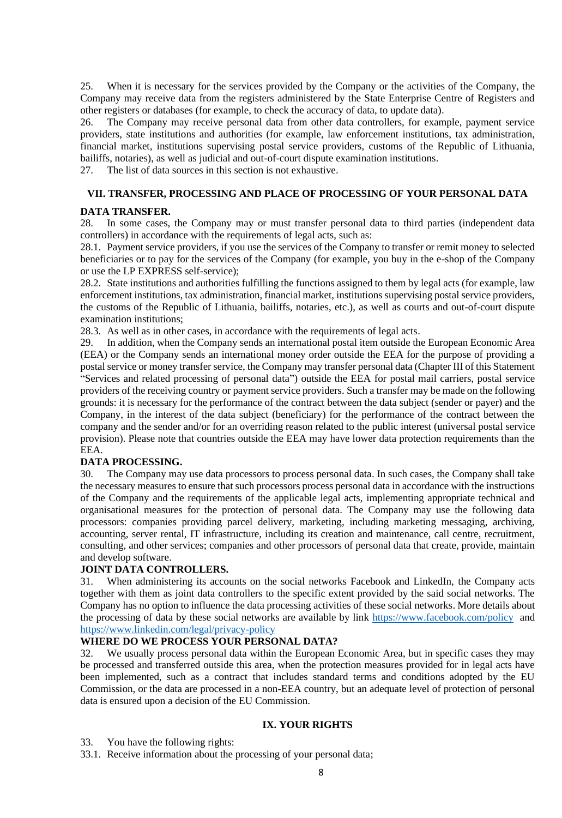25. When it is necessary for the services provided by the Company or the activities of the Company, the Company may receive data from the registers administered by the State Enterprise Centre of Registers and other registers or databases (for example, to check the accuracy of data, to update data).

26. The Company may receive personal data from other data controllers, for example, payment service providers, state institutions and authorities (for example, law enforcement institutions, tax administration, financial market, institutions supervising postal service providers, customs of the Republic of Lithuania, bailiffs, notaries), as well as judicial and out-of-court dispute examination institutions.

27. The list of data sources in this section is not exhaustive.

## **VII. TRANSFER, PROCESSING AND PLACE OF PROCESSING OF YOUR PERSONAL DATA**

## **DATA TRANSFER.**

28. In some cases, the Company may or must transfer personal data to third parties (independent data controllers) in accordance with the requirements of legal acts, such as:

28.1. Payment service providers, if you use the services of the Company to transfer or remit money to selected beneficiaries or to pay for the services of the Company (for example, you buy in the e-shop of the Company or use the LP EXPRESS self-service);

28.2. State institutions and authorities fulfilling the functions assigned to them by legal acts (for example, law enforcement institutions, tax administration, financial market, institutions supervising postal service providers, the customs of the Republic of Lithuania, bailiffs, notaries, etc.), as well as courts and out-of-court dispute examination institutions;

28.3. As well as in other cases, in accordance with the requirements of legal acts.

29. In addition, when the Company sends an international postal item outside the European Economic Area (EEA) or the Company sends an international money order outside the EEA for the purpose of providing a postal service or money transfer service, the Company may transfer personal data (Chapter III of this Statement "Services and related processing of personal data") outside the EEA for postal mail carriers, postal service providers of the receiving country or payment service providers. Such a transfer may be made on the following grounds: it is necessary for the performance of the contract between the data subject (sender or payer) and the Company, in the interest of the data subject (beneficiary) for the performance of the contract between the company and the sender and/or for an overriding reason related to the public interest (universal postal service provision). Please note that countries outside the EEA may have lower data protection requirements than the EEA.

## **DATA PROCESSING.**

30. The Company may use data processors to process personal data. In such cases, the Company shall take the necessary measures to ensure that such processors process personal data in accordance with the instructions of the Company and the requirements of the applicable legal acts, implementing appropriate technical and organisational measures for the protection of personal data. The Company may use the following data processors: companies providing parcel delivery, marketing, including marketing messaging, archiving, accounting, server rental, IT infrastructure, including its creation and maintenance, call centre, recruitment, consulting, and other services; companies and other processors of personal data that create, provide, maintain and develop software.

## **JOINT DATA CONTROLLERS.**

31. When administering its accounts on the social networks Facebook and LinkedIn, the Company acts together with them as joint data controllers to the specific extent provided by the said social networks. The Company has no option to influence the data processing activities of these social networks. More details about the processing of data by these social networks are available by link <https://www.facebook.com/policy> and <https://www.linkedin.com/legal/privacy-policy>

## **WHERE DO WE PROCESS YOUR PERSONAL DATA?**

32. We usually process personal data within the European Economic Area, but in specific cases they may be processed and transferred outside this area, when the protection measures provided for in legal acts have been implemented, such as a contract that includes standard terms and conditions adopted by the EU Commission, or the data are processed in a non-EEA country, but an adequate level of protection of personal data is ensured upon a decision of the EU Commission.

## **IX. YOUR RIGHTS**

33. You have the following rights:

33.1. Receive information about the processing of your personal data;